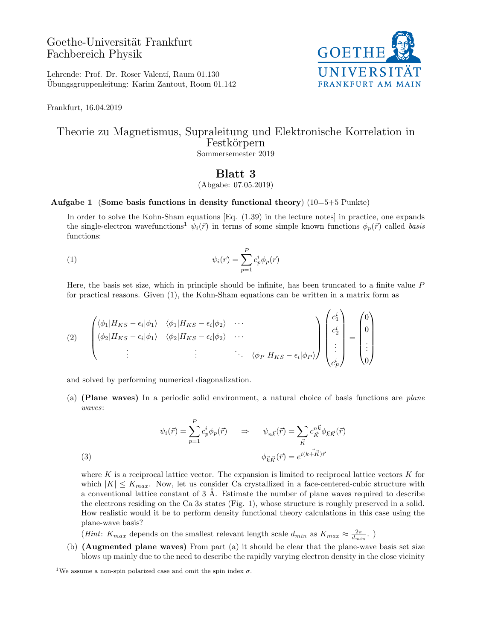# Goethe-Universität Frankfurt Fachbereich Physik



Lehrende: Prof. Dr. Roser Valentí, Raum 01.130 Ubungsgruppenleitung: Karim Zantout, Room 01.142 ¨

Frankfurt, 16.04.2019

### Theorie zu Magnetismus, Supraleitung und Elektronische Korrelation in Festkörpern Sommersemester 2019

## Blatt 3

(Abgabe: 07.05.2019)

### Aufgabe 1 (Some basis functions in density functional theory)  $(10=5+5$  Punkte)

In order to solve the Kohn-Sham equations [Eq. (1.39) in the lecture notes] in practice, one expands the single-electron wavefunctions<sup>1</sup>  $\psi_i(\vec{r})$  in terms of some simple known functions  $\phi_p(\vec{r})$  called basis functions:

(1) 
$$
\psi_i(\vec{r}) = \sum_{p=1}^P c_p^i \phi_p(\vec{r})
$$

Here, the basis set size, which in principle should be infinite, has been truncated to a finite value  $P$ for practical reasons. Given (1), the Kohn-Sham equations can be written in a matrix form as

$$
(2) \quad \begin{pmatrix} \langle \phi_1 | H_{KS} - \epsilon_i | \phi_1 \rangle & \langle \phi_1 | H_{KS} - \epsilon_i | \phi_2 \rangle & \cdots \\ \langle \phi_2 | H_{KS} - \epsilon_i | \phi_1 \rangle & \langle \phi_2 | H_{KS} - \epsilon_i | \phi_2 \rangle & \cdots \\ \vdots & \vdots & \ddots & \langle \phi_P | H_{KS} - \epsilon_i | \phi_P \rangle \end{pmatrix} \begin{pmatrix} c_1^i \\ c_2^i \\ \vdots \\ c_P^i \end{pmatrix} = \begin{pmatrix} 0 \\ 0 \\ \vdots \\ 0 \end{pmatrix}
$$

and solved by performing numerical diagonalization.

(a) (Plane waves) In a periodic solid environment, a natural choice of basis functions are plane waves:

(3)  
\n
$$
\psi_i(\vec{r}) = \sum_{p=1}^P c_p^i \phi_p(\vec{r}) \qquad \Rightarrow \qquad \psi_{n\vec{k}}(\vec{r}) = \sum_{\vec{K}} c_{\vec{K}}^{n\vec{k}} \phi_{\vec{k}\vec{K}}(\vec{r})
$$
\n
$$
\phi_{\vec{k}\vec{K}}(\vec{r}) = e^{i(k + \vec{K})\vec{r}}
$$

where K is a reciprocal lattice vector. The expansion is limited to reciprocal lattice vectors  $K$  for which  $|K| \leq K_{max}$ . Now, let us consider Ca crystallized in a face-centered-cubic structure with a conventional lattice constant of  $3 \text{ Å}$ . Estimate the number of plane waves required to describe the electrons residing on the Ca 3s states (Fig. 1), whose structure is roughly preserved in a solid. How realistic would it be to perform density functional theory calculations in this case using the plane-wave basis?

(*Hint*:  $K_{max}$  depends on the smallest relevant length scale  $d_{min}$  as  $K_{max} \approx \frac{2\pi}{d_{min}}$ .)

(b) (Augmented plane waves) From part (a) it should be clear that the plane-wave basis set size blows up mainly due to the need to describe the rapidly varying electron density in the close vicinity

<sup>&</sup>lt;sup>1</sup>We assume a non-spin polarized case and omit the spin index  $\sigma$ .